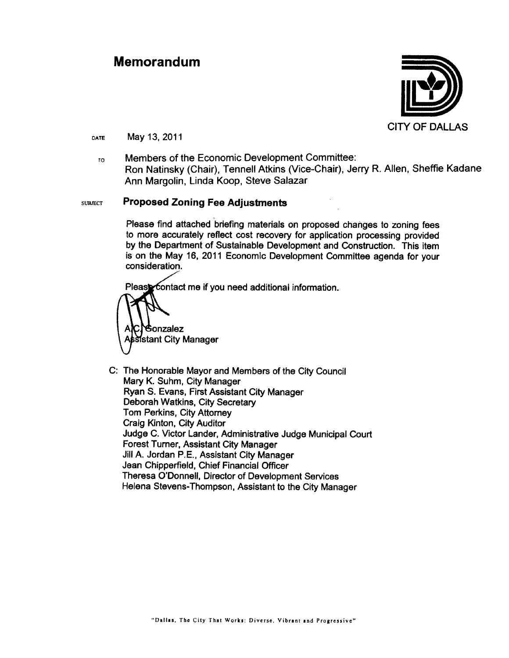#### **Memorandum**



May 13, 2011 DATE

Members of the Economic Development Committee:  $\mathbf{r}$ Ron Natinsky (Chair), Tennell Atkins (Vice-Chair), Jerry R. Allen, Sheffie Kadane Ann Margolin, Linda Koop, Steve Salazar

#### **Proposed Zoning Fee Adjustments SUBJECT**

Please find attached briefing materials on proposed changes to zoning fees to more accurately reflect cost recovery for application processing provided by the Department of Sustainable Development and Construction. This item is on the May 16, 2011 Economic Development Committee agenda for your consideration.

Please contact me if you need additional information.

**Gonzalez** sistant City Manager

C: The Honorable Mayor and Members of the City Council Mary K. Suhm, City Manager Ryan S. Evans, First Assistant City Manager Deborah Watkins, City Secretary Tom Perkins, City Attorney Craig Kinton, City Auditor Judge C. Victor Lander, Administrative Judge Municipal Court **Forest Turner, Assistant City Manager** Jill A. Jordan P.E., Assistant City Manager Jean Chipperfield, Chief Financial Officer Theresa O'Donnell, Director of Development Services Helena Stevens-Thompson, Assistant to the City Manager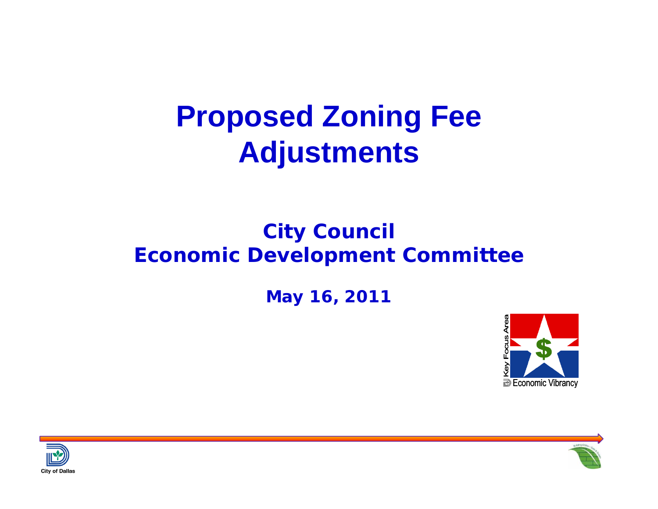## **Proposed Zoning Fee Adjustments**

#### **City Council Economic Development Committee**

**May 16, 2011** 





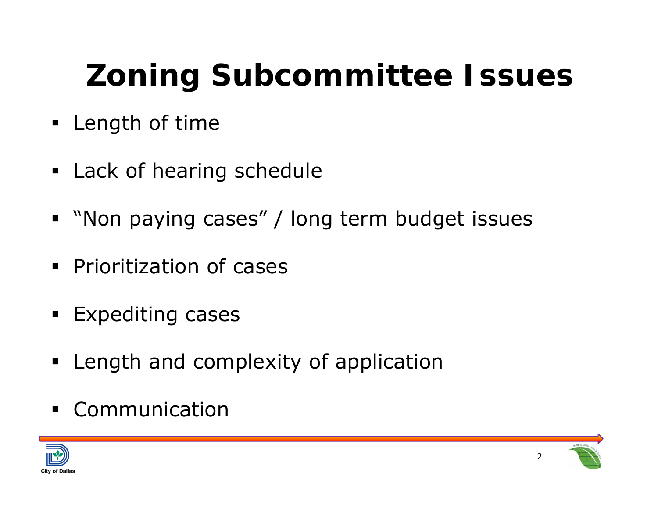- **Example 1 Length of time**
- **Example 21 Lack of hearing schedule**
- "Non paying cases" / long term budget issues
- **Prioritization of cases**
- **Expediting cases**
- **Examplerify Length and complexity of application**
- Communication



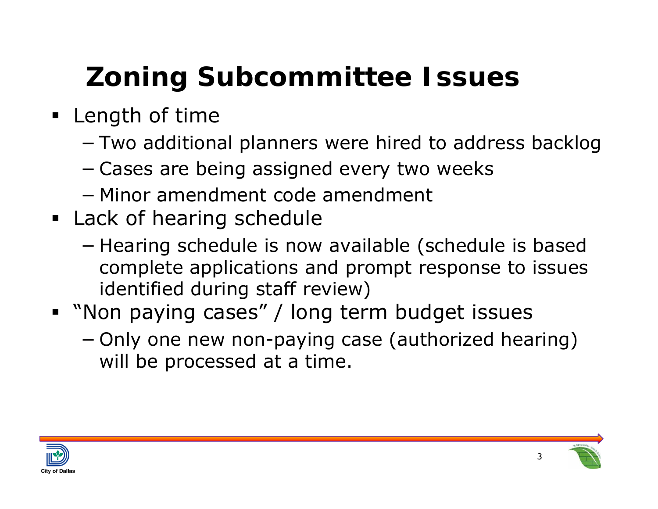- **Example 1 Length of time** 
	- −Two additional planners were hired to address backlog
	- −Cases are being assigned every two weeks
	- − Minor amendment code amendment
- **Eack of hearing schedule** 
	- −– Hearing schedule is now available (schedule is based complete applications and prompt response to issues identified during staff review)
- "Non paying cases" / long term budget issues
	- − Only one new non-paying case (authorized hearing) will be processed at a time.



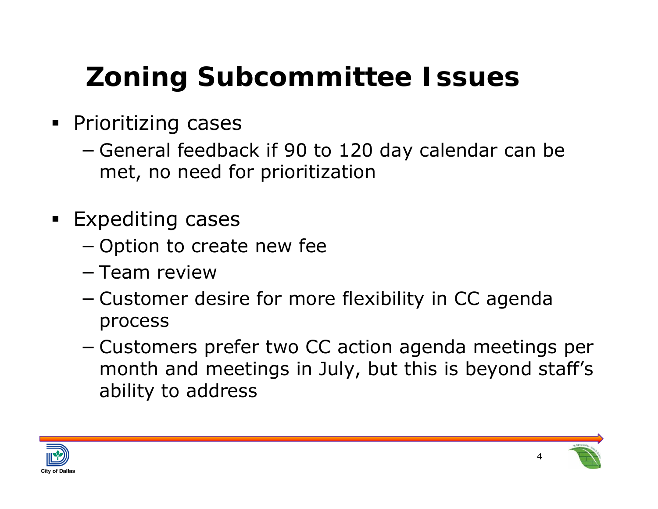- **Prioritizing cases** 
	- −– General feedback if 90 to 120 day calendar can be met, no need for prioritization
- **Expediting cases** 
	- −- Option to create new fee
	- − Team review
	- −– Customer desire for more flexibility in CC agenda process
	- − Customers prefer two CC action agenda meetings per month and meetings in July, but this is beyond staff's ability to address



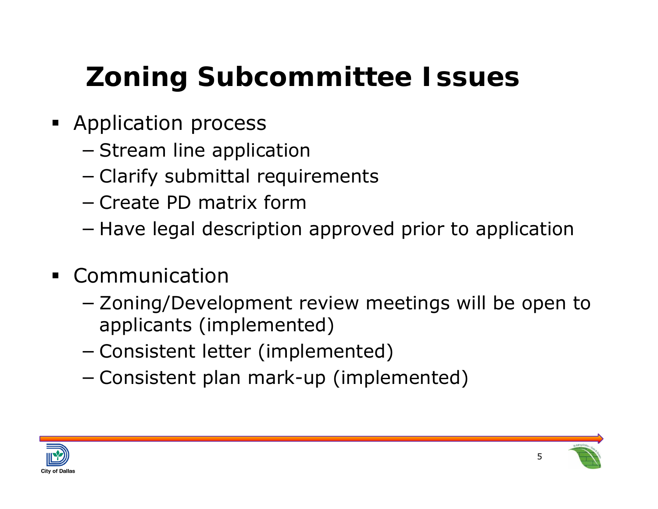- **Application process** 
	- −– Stream line application
	- −Clarify submittal requirements
	- − Create PD matrix form
	- −– Have legal description approved prior to application
- Communication
	- − Zoning/Development review meetings will be open to applicants (implemented)
	- −Consistent letter (implemented)
	- −Consistent plan mark-up (implemented)



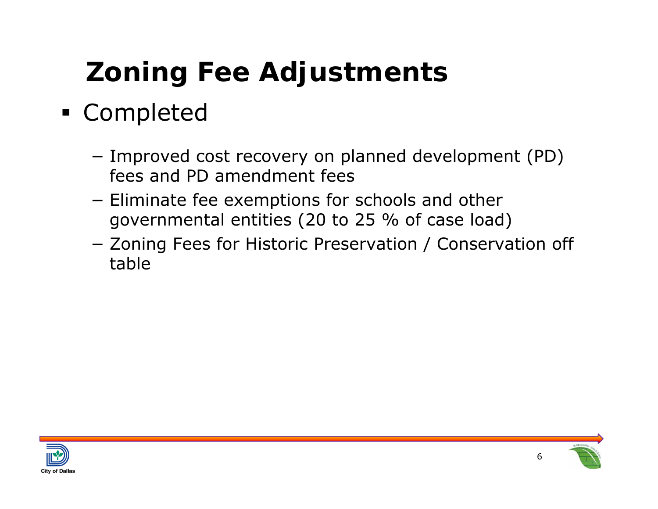## Completed

- − Improved cost recovery on planned development (PD) fees and PD amendment fees
- − $-$  Eliminate fee exemptions for schools and other governmental entities (20 to 25 % of case load)
- − Zoning Fees for Historic Preservation / Conservation off table



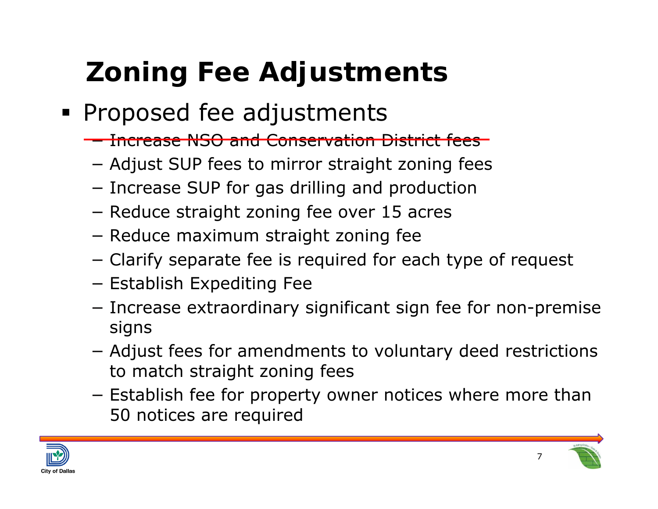- **Proposed fee adjustments** 
	- Increase NSO and Conservation District fees
	- −Adjust SUP fees to mirror straight zoning fees
	- − $-$  Increase SUP for gas drilling and production
	- −- Reduce straight zoning fee over 15 acres
	- −- Reduce maximum straight zoning fee
	- −Clarify separate fee is required for each type of request
	- − Establish Expediting Fee
	- − $-$  Increase extraordinary significant sign fee for non-premise signs
	- − Adjust fees for amendments to voluntary deed restrictions to match straight zoning fees
	- − $-$  Establish fee for property owner notices where more than 50 notices are required





7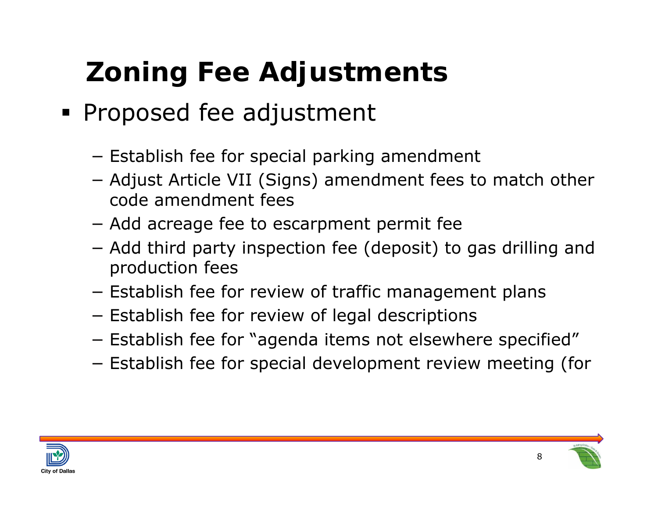- **Proposed fee adjustment** 
	- − $-$  Establish fee for special parking amendment
	- − Adjust Article VII (Signs) amendment fees to match other code amendment fees
	- −Add acreage fee to escarpment permit fee
	- − Add third party inspection fee (deposit) to gas drilling and production fees
	- − $-$  Establish fee for review of traffic management plans
	- − $-$  Establish fee for review of legal descriptions
	- −Establish fee for "agenda items not elsewhere specified"
	- −Establish fee for special development review meeting (for



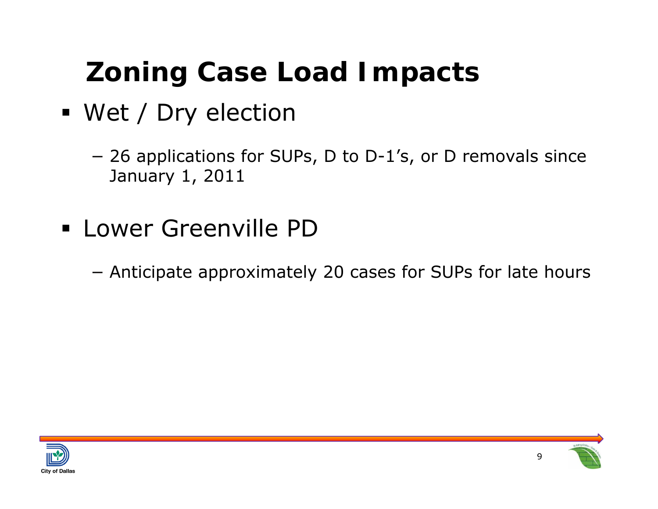## **Zoning Case Load Impacts**

- Wet / Dry election
	- − 26 applications for SUPs, D to D-1's, or D removals since January 1, 2011
- Lower Greenville PD
	- −Anticipate approximately 20 cases for SUPs for late hours



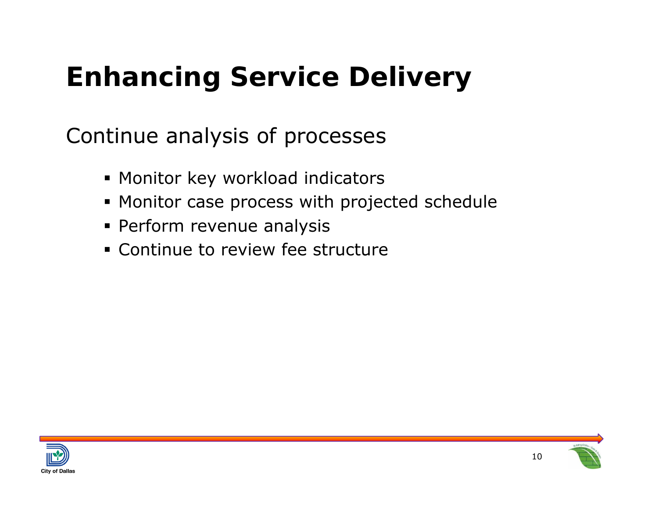## **Enhancing Service Delivery**

Continue analysis of processes

- Monitor key workload indicators
- Monitor case process with projected schedule
- Perform revenue analysis
- Continue to review fee structure



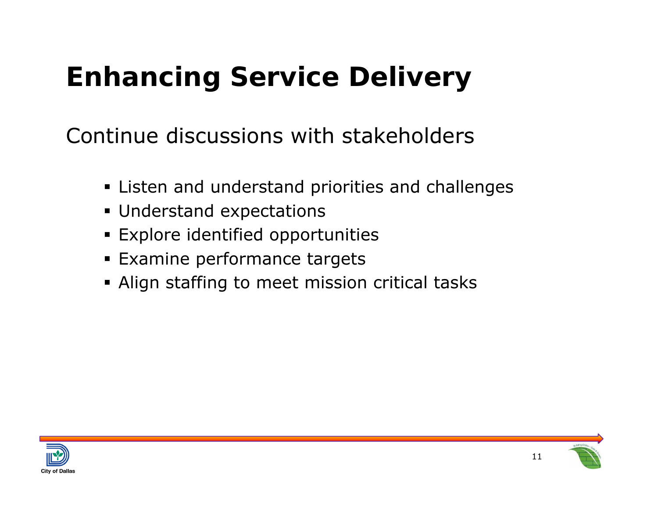## **Enhancing Service Delivery**

Continue discussions with stakeholders

- Listen and understand priorities and challenges
- Understand expectations
- Explore identified opportunities
- **Examine performance targets**
- Align staffing to meet mission critical tasks



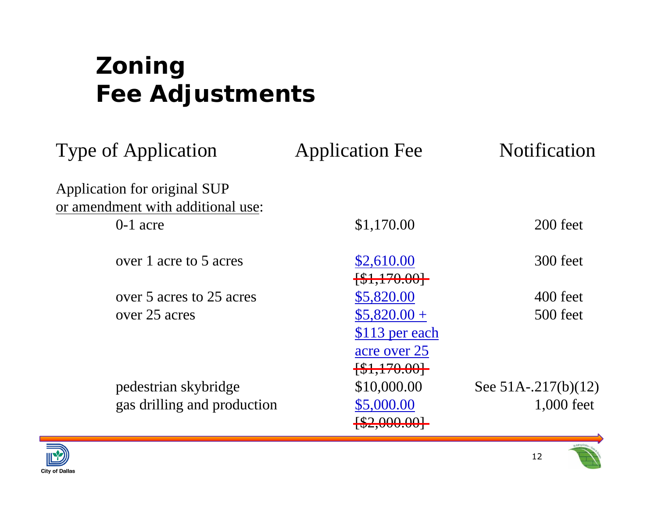| <b>Type of Application</b>        | <b>Application Fee</b>     | <b>Notification</b>    |
|-----------------------------------|----------------------------|------------------------|
| Application for original SUP      |                            |                        |
| or amendment with additional use: |                            |                        |
| $0-1$ acre                        | \$1,170.00                 | 200 feet               |
| over 1 acre to 5 acres            | \$2,610.00                 | 300 feet               |
|                                   | $\{\$1,170.00\}$           |                        |
| over 5 acres to 25 acres          | \$5,820.00                 | 400 feet               |
| over 25 acres                     | $$5,820.00+$               | 500 feet               |
|                                   | \$113 per each             |                        |
|                                   | acre over 25               |                        |
|                                   | $\{\$1,170.00\}$           |                        |
| pedestrian skybridge              | \$10,000.00                | See $51A - 217(b)(12)$ |
| gas drilling and production       | \$5,000.00                 | 1,000 feet             |
|                                   | $\left[ $2,000.00 \right]$ |                        |



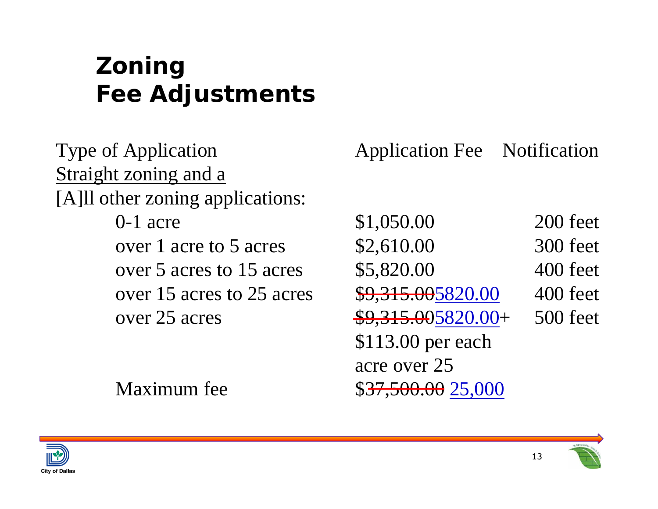Type of Application **Application** Application Fee Notification Straight zoning and a [A]ll other zoning applications:

0-1 acre \$1,050.00 200 feet over 1 acre to 5 acres \$2,610.00 300 feet over 5 acres to  $15$  acres  $$5,820.00$  400 feet over 15 acres to 25 acres \$9,315.00 \$9,315.00 400 feet over 25 acres \$9,315.005820.00+ 500 feet \$113.00 per each acre over 25Maximum fee  $$37,500.00$  25,000



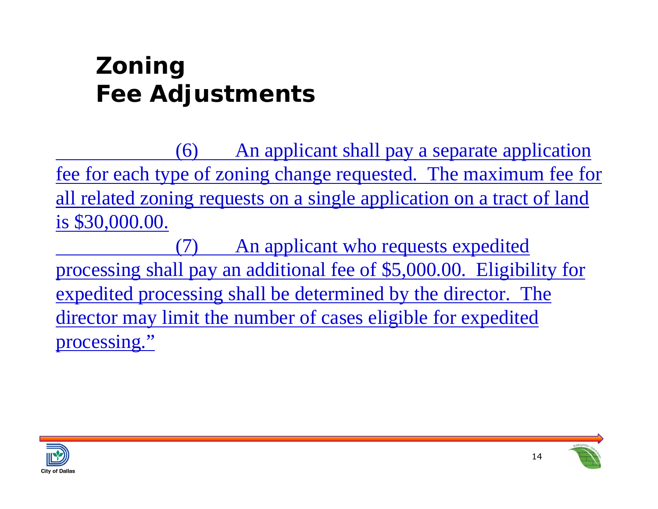(6) An applicant shall pay a separate application fee for each type of zoning change requested. The maximum fee for all related zoning requests on a single application on a tract of land is \$30,000.00.

An applicant who requests expedited processing shall pay an additional fee of \$5,000.00. Eligibility for expedited processing shall be determined by the director. The director may limit the number of cases eligible for expedited processing."



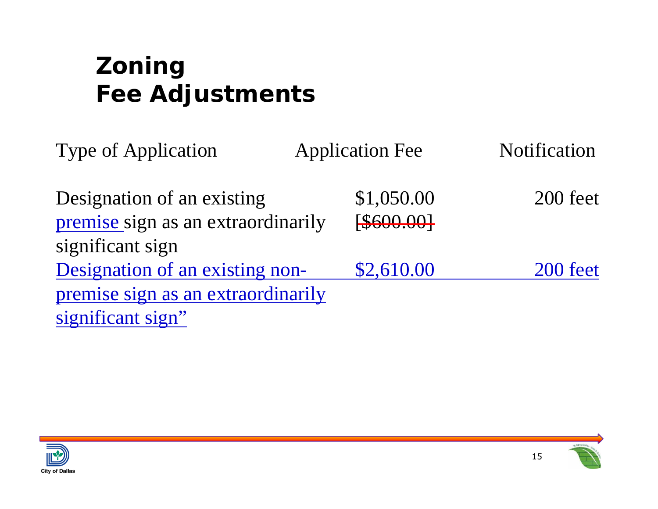| <b>Type of Application</b>                                       | <b>Application Fee</b> | Notification |
|------------------------------------------------------------------|------------------------|--------------|
| Designation of an existing<br>premise sign as an extraordinarily | \$1,050.00<br>\$600.00 | 200 feet     |
| significant sign                                                 |                        |              |
| Designation of an existing non-                                  | \$2,610.00             | 200 feet     |
| premise sign as an extraordinarily                               |                        |              |
| significant sign"                                                |                        |              |

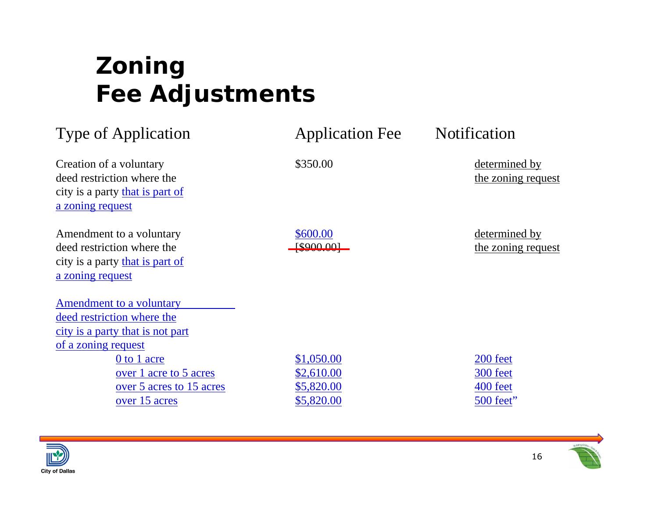| <b>Type of Application</b>                                                                                        | <b>Application Fee</b> | Notification                        |
|-------------------------------------------------------------------------------------------------------------------|------------------------|-------------------------------------|
| Creation of a voluntary<br>deed restriction where the<br>city is a party that is part of<br>a zoning request      | \$350.00               | determined by<br>the zoning request |
| Amendment to a voluntary<br>deed restriction where the<br>city is a party that is part of<br>a zoning request     | \$600.00<br>\$900.001  | determined by<br>the zoning request |
| Amendment to a voluntary<br>deed restriction where the<br>city is a party that is not part<br>of a zoning request |                        |                                     |
| 0 to 1 acre                                                                                                       | \$1,050.00             | 200 feet                            |
| over 1 acre to 5 acres                                                                                            | \$2,610.00             | 300 feet                            |
| over 5 acres to 15 acres                                                                                          | \$5,820.00             | 400 feet                            |
| over 15 acres                                                                                                     | \$5,820.00             | 500 feet"                           |



16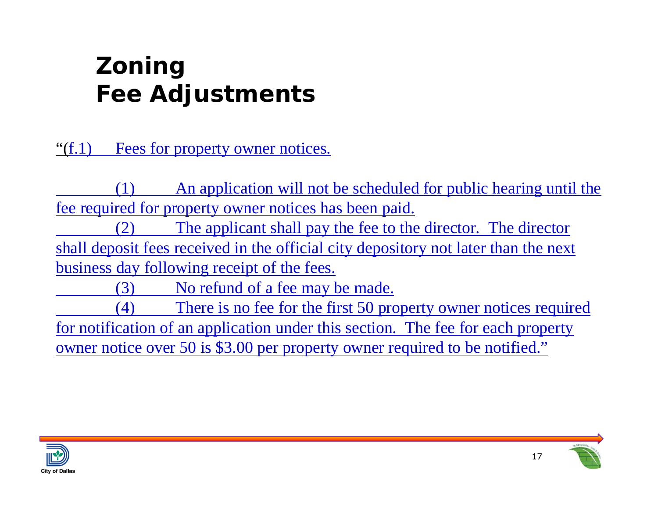"(f.1) Fees for property owner notices.

(1) An application will not be scheduled for public hearing until the fee required for property owner notices has been paid.

The applicant shall pay the fee to the director. The director shall deposit fees received in the official city depository not later than the next business day following receipt of the fees.

(3) No refund of a fee may be made.

(4) There is no fee for the first 50 property owner notices required for notification of an application under this section. The fee for each property owner notice over 50 is \$3.00 per property owner required to be notified."



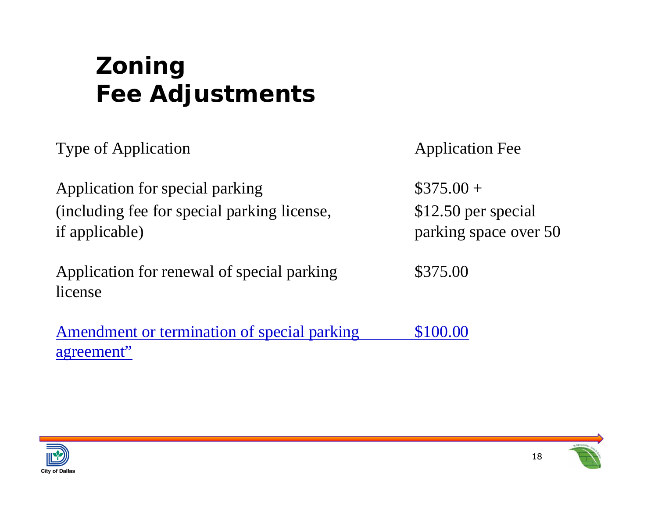Type of Application Type of Application

Application for special parking  $$375.00 +$ (including fee for special parking license, \$12.50 per special if applicable) parking space over 50

Application for renewal of special parking  $$375.00$ license

Amendment or termination of special parking \$100.00 agreement"



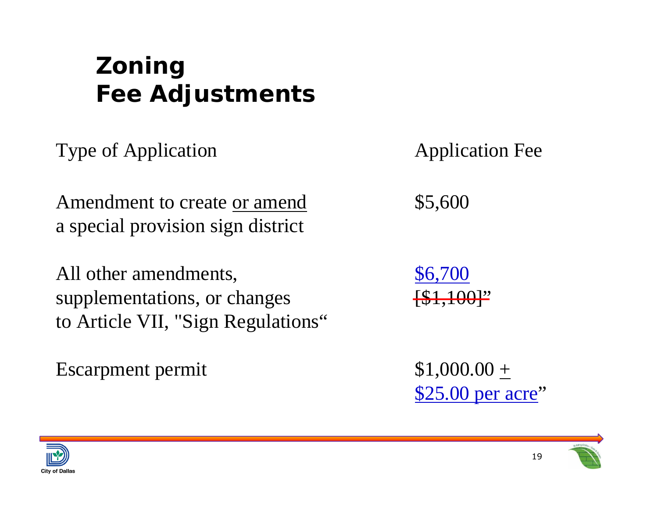Type of Application Type of Application

Amendment to create or amend  $$5,600$ a special provision sign district

All other amendments,  $$6,700$ supplementations, or changes  $\left\{\$1,100\right\}$ " to Article VII, "Sign Regulations"

Escarpment permit  $$1,000.00 +$ 

\$25.00 per acre"



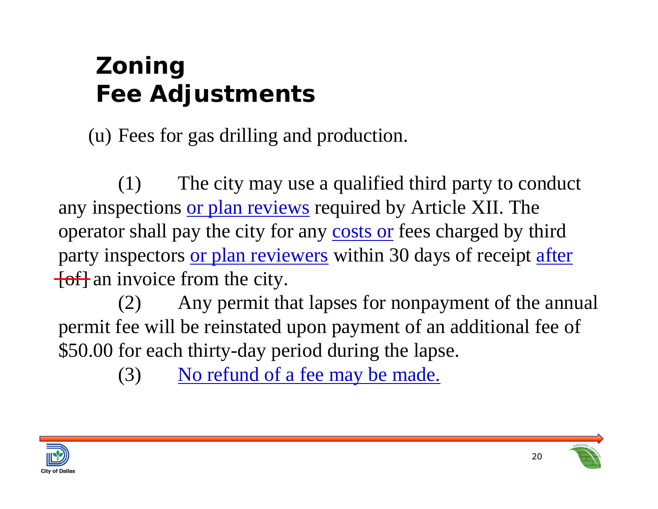(u) Fees for gas drilling and production.

(1) The city may use a qualified third party to conduct any inspections or plan reviews required by Article XII. The operator shall pay the city for any costs or fees charged by third party inspectors or plan reviewers within 30 days of receipt after  $\overline{f}$  of  $\overline{f}$  an invoice from the city.

(2) Any permit that lapses for nonpayment of the annual permit fee will be reinstated upon payment of an additional fee of \$50.00 for each thirty-day period during the lapse.

(3) No refund of a fee may be made.



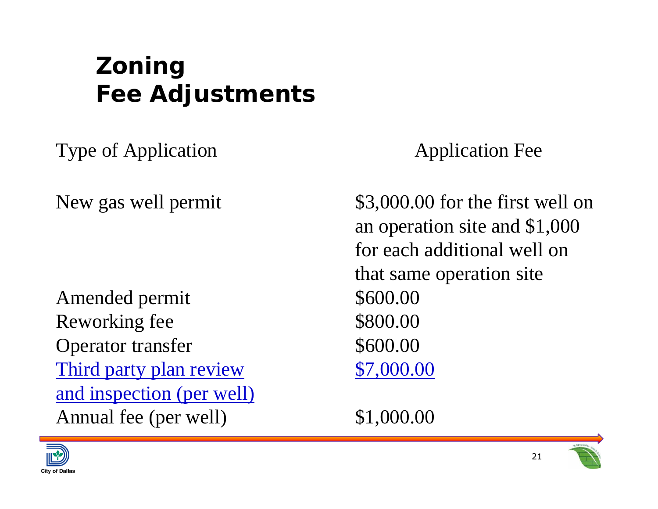Type of Application Type of Application

Amended permit  $$600.00$ Reworking fee \$800.00 Operator transfer \$600.00 Third party plan review \$7,000.00 and inspection (per well) Annual fee (per well)  $$1,000.00$ 

New gas well permit \$3,000.00 for the first well on an operation site and \$1,000 for each additional well on that same operation site



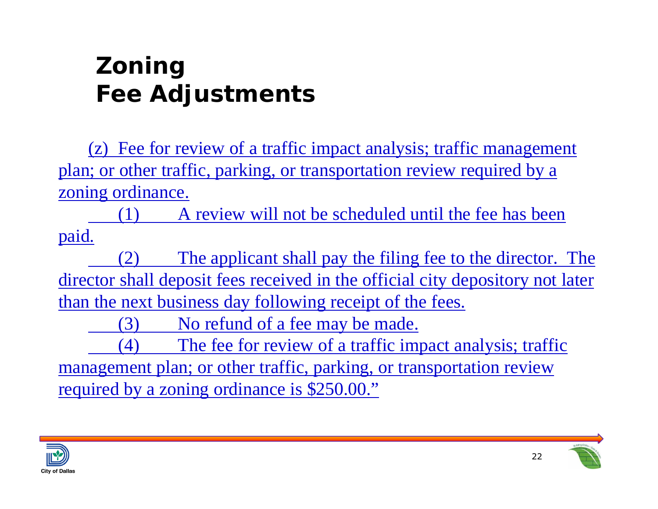(z) Fee for review of a traffic impact analysis; traffic management plan; or other traffic, parking, or transportation review required by a zoning ordinance.

(1) A review will not be scheduled until the fee has been paid.

(2) The applicant shall pay the filing fee to the director. The director shall deposit fees received in the official city depository not later than the next business day following receipt of the fees.

(3) No refund of a fee may be made.

(4) The fee for review of a traffic impact analysis; traffic management plan; or other traffic, parking, or transportation review required by a zoning ordinance is \$250.00."

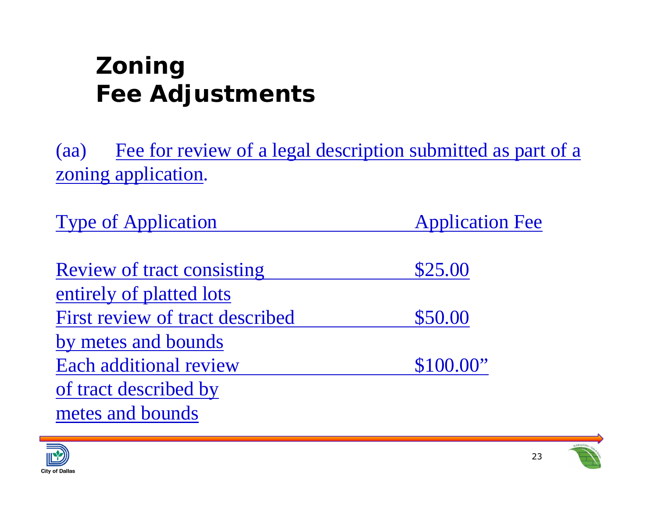(aa) Fee for review of a legal description submitted as part of a zoning application.

Type of Application **Application** Application Fee

| <b>Review of tract consisting</b> | \$25.00   |  |
|-----------------------------------|-----------|--|
| entirely of platted lots          |           |  |
| First review of tract described   | \$50.00   |  |
| by metes and bounds               |           |  |
| Each additional review            | \$100.00" |  |
| of tract described by             |           |  |
| metes and bounds                  |           |  |



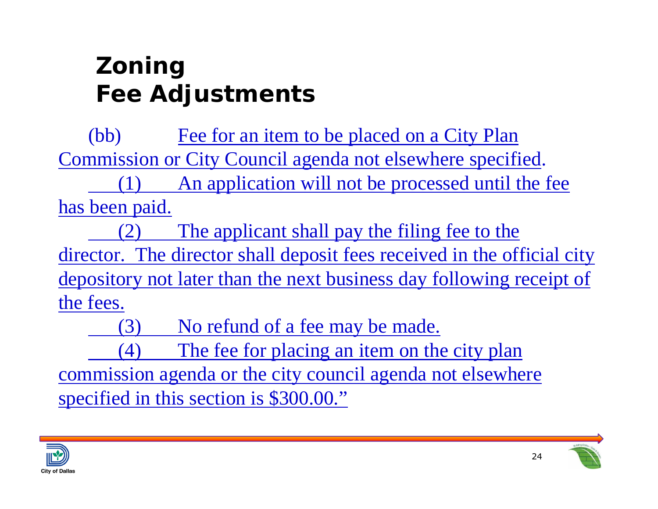(bb) Fee for an item to be placed on a City Plan Commission or City Council agenda not elsewhere specified.

(1) An application will not be processed until the fee has been paid.

(2) The applicant shall pay the filing fee to the director. The director shall deposit fees received in the official city depository not later than the next business day following receipt of the fees.

(3) No refund of a fee may be made.

(4) The fee for placing an item on the city plan commission agenda or the city council agenda not elsewhere specified in this section is \$300.00."

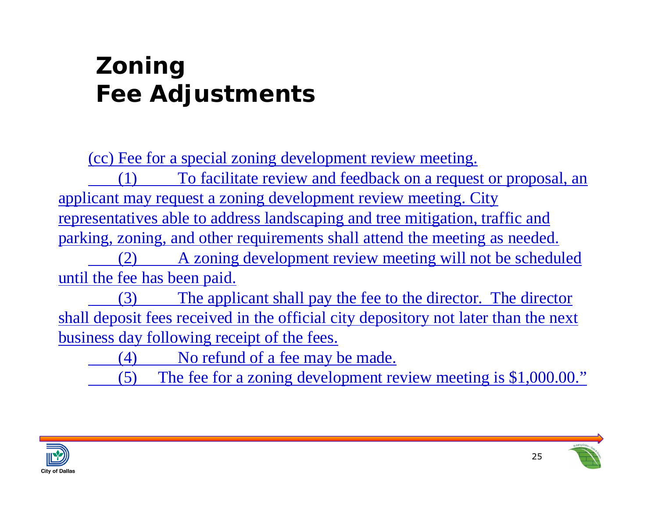(cc) Fee for a special zoning development review meeting.

(1) To facilitate review and feedback on a request or proposal, an applicant may request a zoning development review meeting. City representatives able to address landscaping and tree mitigation, traffic and parking, zoning, and other requirements shall attend the meeting as needed. (2) A zoning development review meeting will not be scheduled until the fee has been paid.

(3) The applicant shall pay the fee to the director. The director shall deposit fees received in the official city depository not later than the next business day following receipt of the fees.

(4) No refund of a fee may be made.

(5) The fee for a zoning development review meeting is \$1,000.00."